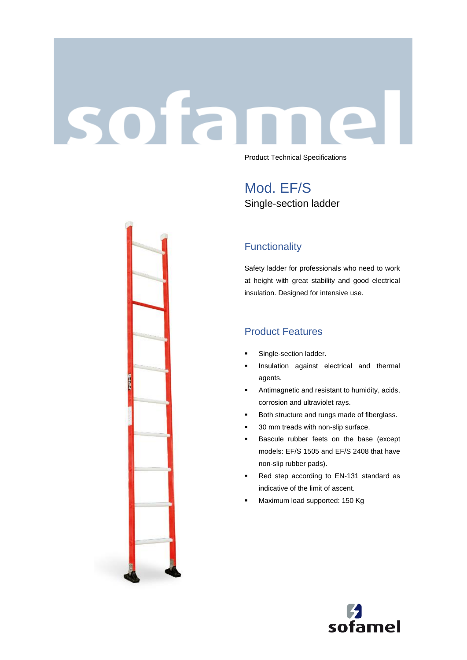# sofar Product Technical Specifications

Mod. EF/S Single-section ladder

## **Functionality**

Safety ladder for professionals who need to work at height with great stability and good electrical insulation. Designed for intensive use.

## Product Features

- **■** Single-section ladder.
- **·** Insulation against electrical and thermal agents.
- Antimagnetic and resistant to humidity, acids, corrosion and ultraviolet rays.
- Both structure and rungs made of fiberglass.
- 30 mm treads with non-slip surface.
- Bascule rubber feets on the base (except models: EF/S 1505 and EF/S 2408 that have non-slip rubber pads).
- Red step according to EN-131 standard as indicative of the limit of ascent.
- Maximum load supported: 150 Kg